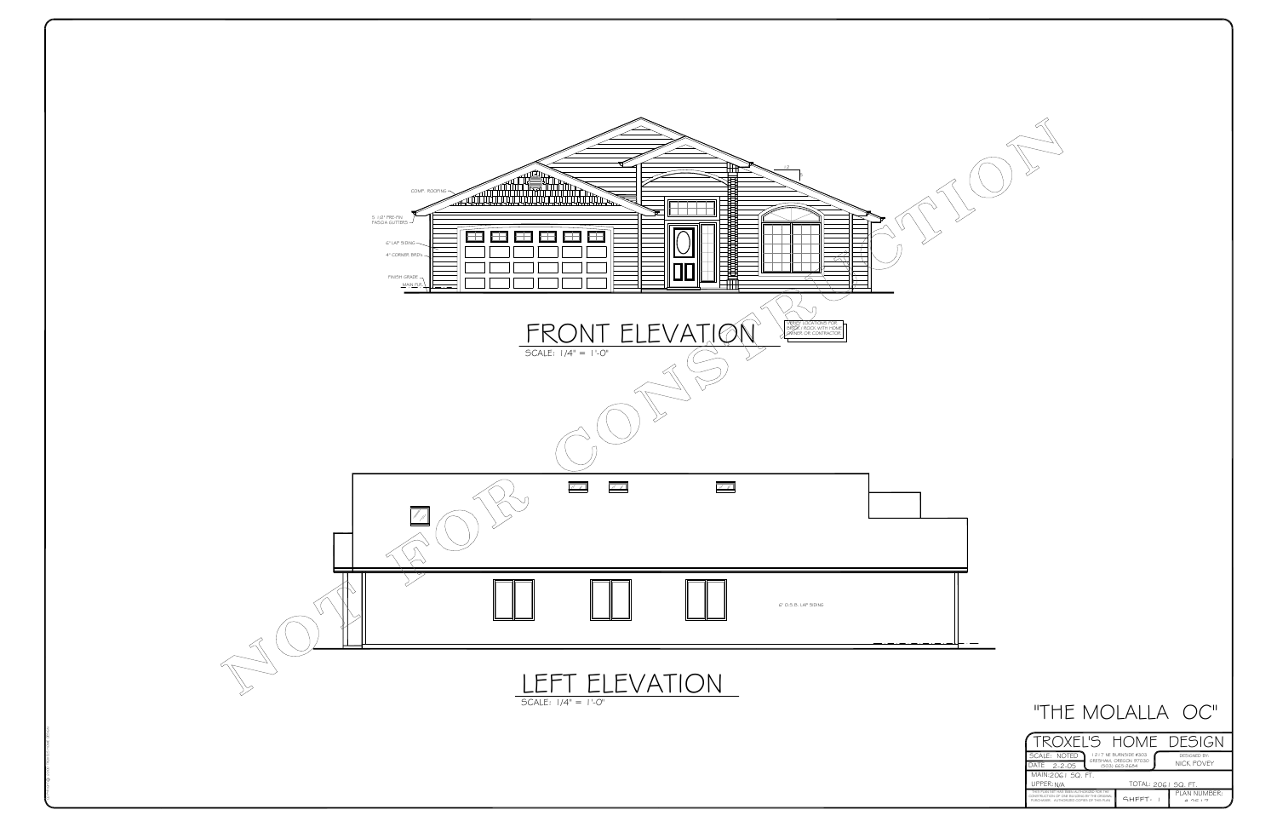| ROXEL'S HOME DESIG                                                                                                                     |                                                                  |                                             |
|----------------------------------------------------------------------------------------------------------------------------------------|------------------------------------------------------------------|---------------------------------------------|
| SCALE: NOTED<br>DATE<br>$2 - 2 - 05$                                                                                                   | 1217 NE BURNSIDE #303<br>GRESHAM, OREGON 97030<br>(503) 665-2684 | DESIGNED BY:<br>NICK POVEY                  |
| MAIN:2061 SQ. FT.                                                                                                                      |                                                                  |                                             |
| UPPER: N/A                                                                                                                             | TOTAL: 2061 SQ. FT.                                              |                                             |
| THIS PLAN SET HAS BEEN AUTHORIZED FOR THE<br>CONSTRUCTION OF ONE BUILDING BY THE ORIGINAL<br>PURCHASER AUTHORIZED CORIES OF THIS PLAN. | <b>GHFFT.</b>                                                    | PLAN NUMBER:<br>$\mu \cap \Gamma + \square$ |



# *"THE MOLALLA OC"*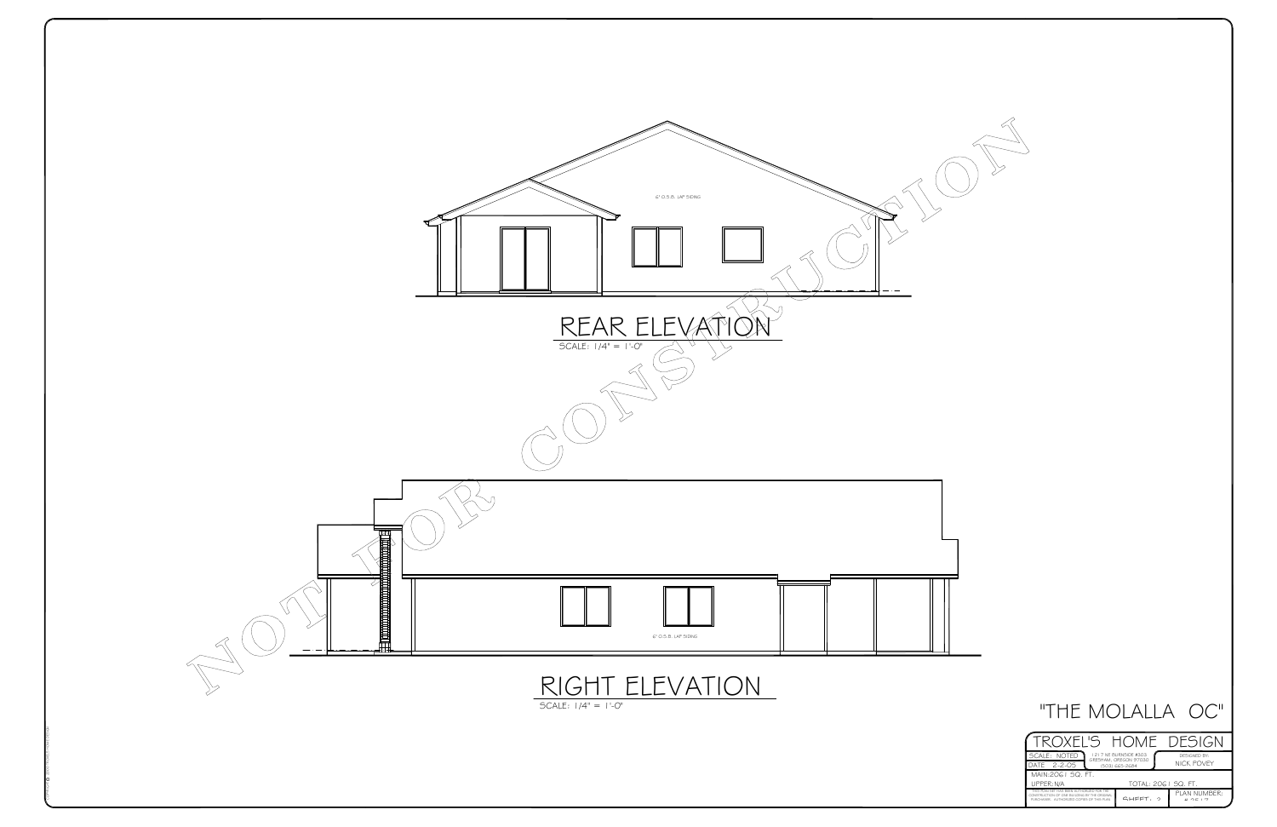| ROXEL'S HOME DESIG   |                                                |              |
|----------------------|------------------------------------------------|--------------|
| SCALE: NOTED         | 1217 NE BURNSIDE #303<br>GRESHAM, OREGON 97030 | DESIGNED BY: |
| DATE<br>$2 - 2 - 05$ | (503) 665-2684                                 | NICK POVEY   |
|                      |                                                |              |
| MAIN: 2061 SQ. FT.   |                                                |              |
| UPPER: N/A           | TOTAL: 2061 SQ. FT.                            |              |





## *"THE MOLALLA OC"*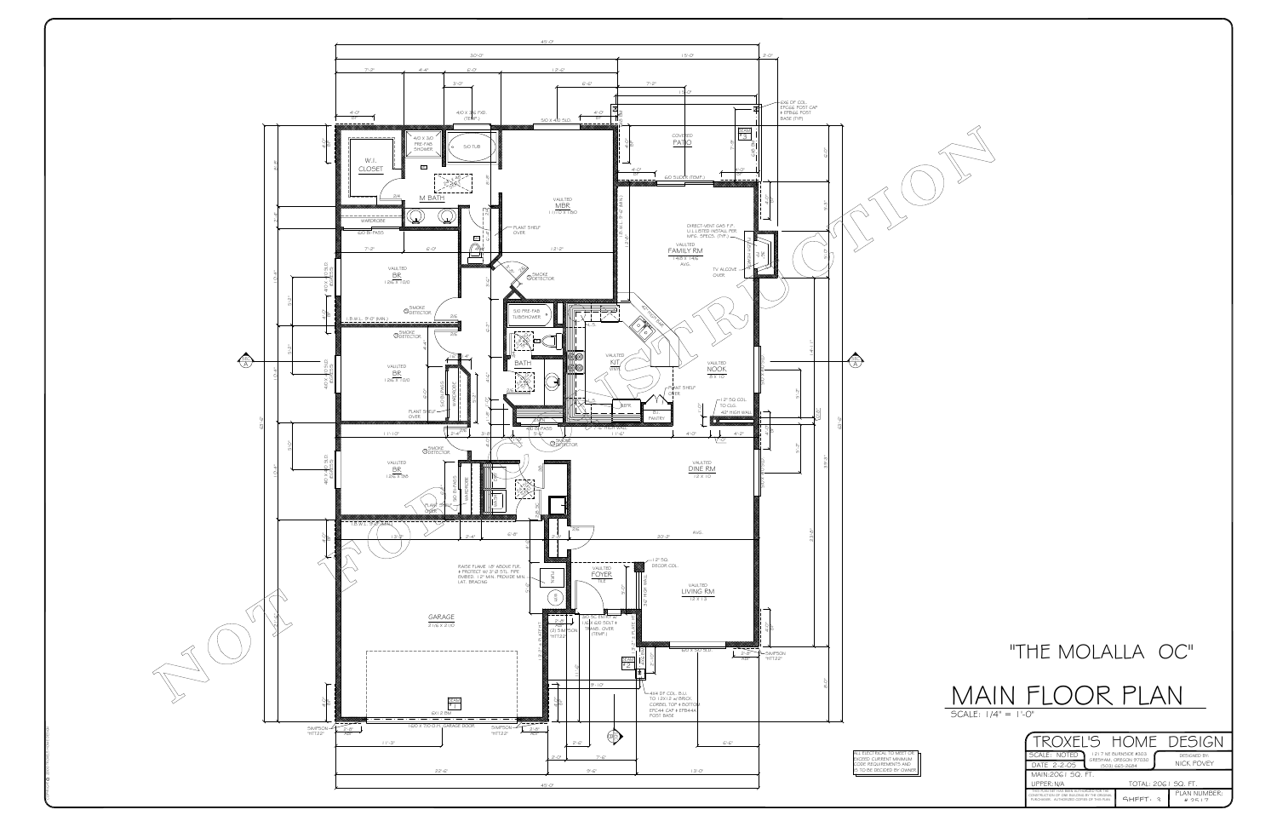SCALE: 1/4" = 1'-0"

# MAIN FLOOR PLAN

|                    |                                         | OXEL'S HOME DESIGN    |              |
|--------------------|-----------------------------------------|-----------------------|--------------|
| SCALE: NOTED       |                                         | 1217 NE BURNSIDE #303 | DESIGNED BY: |
| DATE 2-2-05        | GRESHAM. OREGON 97030<br>(503) 665-2684 |                       | NICK POVEY   |
|                    |                                         |                       |              |
| MAIN: 2061 SQ. FT. |                                         |                       |              |
| UPPER: N/A         |                                         | TOTAL: 2061 SQ. FT.   |              |



# "THE MOLALLA OC"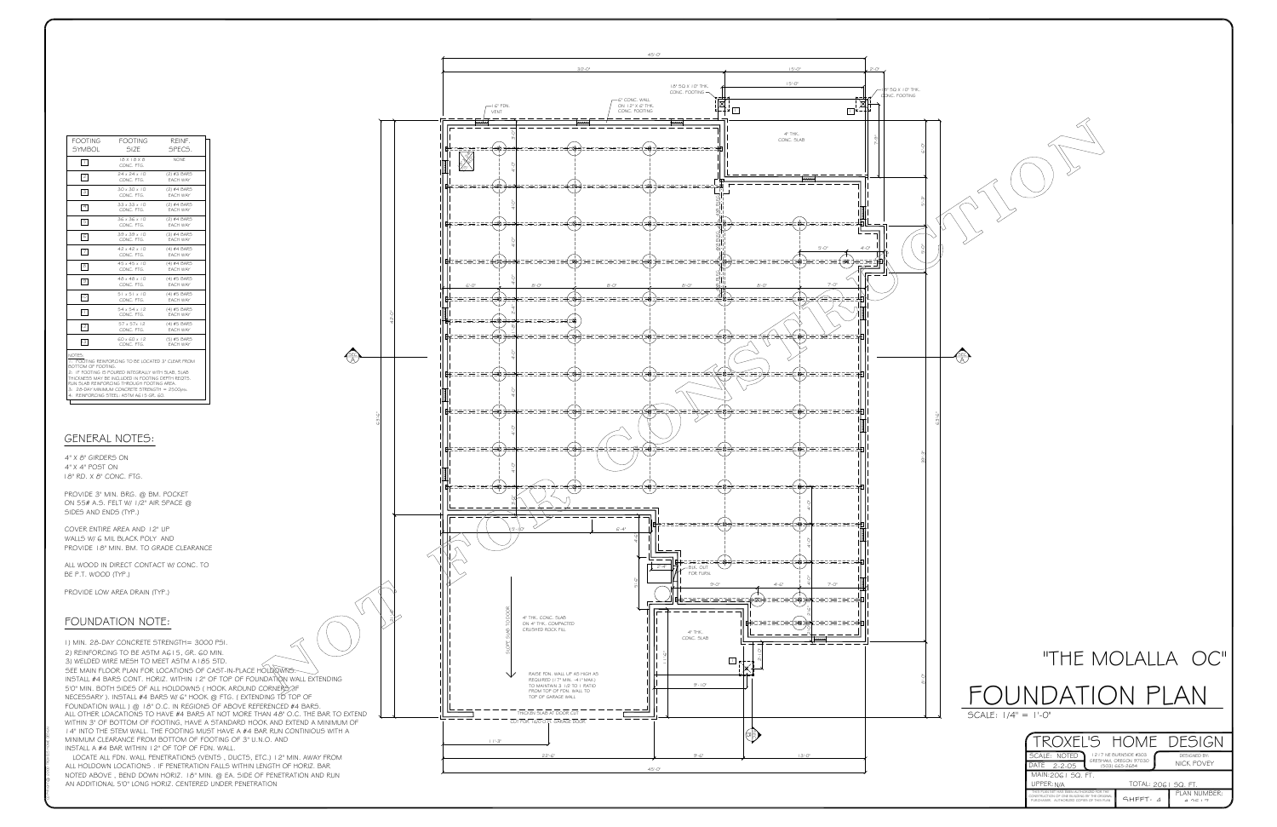

14" INTO THE STEM WALL. THE FOOTING MUST HAVE A #4 BAR RUN CONTINIOUS WITH AWITHIN 3" OF BOTTOM OF FOOTING, HAVE A STANDARD HOOK AND EXTEND A MINIMUM OFALL OTHER LOACATIONS TO HAVE #4 BARS AT NOT MORE THAN 48" O.C. THE BAR TO EXTEND *FOUNDATION WALL ) @ 18" O.C. IN REGIONS OF ABOVE REFERENCED #4 BARS. SEE MAIN FLOOR PLAN FOR LOCATIONS OF CAST-IN-PLACE HOLDOWNS. INSTALL #4 BARS CONT. HORIZ. WITHIN 12" OF TOP OF FOUNDATION WALL EXTENDING5'0" MIN. BOTH SIDES OF ALL HOLDOWNS ( HOOK AROUND CORNERS ,IF NECESSARY ). INSTALL #4 BARS W/ 6" HOOK @ FTG. ( EXTENDING TO TOP OF1) MIN. 28-DAY CONCRETE STRENGTH= 3000 PSI. 2) REINFORCING TO BE ASTM A615, GR. 60 MIN. 3) WELDED WIRE MESH TO MEET ASTM A185 STD.INSTALL A #4 BAR WITHIN 12" OF TOP OF FDN. WALL.MINIMUM CLEARANCE FROM BOTTOM OF FOOTING OF 3" U.N.O. AND*

*NOTED ABOVE , BEND DOWN HORIZ. 18" MIN. @ EA. SIDE OF PENETRATION AND RUN ALL HOLDOWN LOCATIONS . IF PENETRATION FALLS WITHIN LENGTH OF HORIZ. BAR LOCATE ALL FDN. WALL PENETRATIONS (VENTS , DUCTS, ETC.) 12" MIN. AWAY FROM AN ADDITIONAL 5'0" LONG HORIZ. CENTERED UNDER PENETRATION*

## *GENERAL NOTES:*

## *FOUNDATION NOTE:*

*4" X 4" POST ON 18" RD. X 8" CONC. FTG.4" X 8" GIRDERS ON*

*PROVIDE LOW AREA DRAIN (TYP.)*

*BE P.T. WOOD (TYP.)ALL WOOD IN DIRECT CONTACT W/ CONC. TO*

*ON 55# A.S. FELT W/ 1/2" AIR SPACE @ PROVIDE 3" MIN. BRG. @ BM. POCKETSIDES AND ENDS (TYP.)*

*PROVIDE 18" MIN. BM. TO GRADE CLEARANCE WALLS W/ 6 MIL BLACK POLY AND COVER ENTIRE AREA AND 12" UP*

| <b>SYMBOL</b>                                | FOOTING FOOTING<br>SIZE                                                                                                                                                                                                                                                                                  | REINF.<br>SPECS.        |
|----------------------------------------------|----------------------------------------------------------------------------------------------------------------------------------------------------------------------------------------------------------------------------------------------------------------------------------------------------------|-------------------------|
| □                                            | 18 X 18 X 8<br>CONC. FTG.                                                                                                                                                                                                                                                                                | <b>NONE</b>             |
| $\sqrt{2}$                                   | $24 \times 24 \times 10$<br>CONC. FTG.                                                                                                                                                                                                                                                                   | (2) #3 BARS<br>EACH WAY |
| $\sqrt{3}$                                   | $30 \times 30 \times 10$<br>CONC FTG                                                                                                                                                                                                                                                                     | (2) #4 BARS<br>FACH WAY |
| $\boxed{4}$                                  | $33 \times 33 \times 10$<br>CONC. FTG.                                                                                                                                                                                                                                                                   | (2) #4 BARS<br>EACH WAY |
| 5                                            | 36 x 36 x 10<br>CONC. FTG.                                                                                                                                                                                                                                                                               | (2) #4 BARS<br>EACH WAY |
| G                                            | 39 x 39 x 10<br>CONC FTG                                                                                                                                                                                                                                                                                 | (3) #4 BARS<br>FACH WAY |
| $\boxed{7}$                                  | $42 \times 42 \times 10$<br>CONC. FTG.                                                                                                                                                                                                                                                                   | (4) #4 BARS<br>EACH WAY |
| $\sqrt{8}$                                   | $45 \times 45 \times 10$<br>CONC. FTG.                                                                                                                                                                                                                                                                   | (4) #4 BARS<br>EACH WAY |
| $\boxed{9}$                                  | $48 \times 48 \times 10$<br>CONC. FTG.                                                                                                                                                                                                                                                                   | (4) #5 BARS<br>EACH WAY |
| 1이                                           | $51 \times 51 \times 10$<br>CONC. FTG.                                                                                                                                                                                                                                                                   | (4) #5 BARS<br>EACH WAY |
|                                              | $54 \times 54 \times 12$<br>CONC. FTG.                                                                                                                                                                                                                                                                   | (4) #5 BARS<br>EACH WAY |
| 12                                           | $57 \times 57 \times 12$<br>CONC. FTG.                                                                                                                                                                                                                                                                   | (4) #5 BARS<br>EACH WAY |
| $\sqrt{3}$                                   | $60 \times 60 \times 12$<br>CONC. FTG.                                                                                                                                                                                                                                                                   | (5) #5 BARS<br>EACH WAY |
| NOTES:<br>BOTTOM OF FOOTING.<br>$\mathbf{I}$ | 1: FOOTING REINFORCING TO BE LOCATED 3" CLEAR FROM<br>2: IF FOOTING IS POURED INTEGRALLY WITH SLAB, SLAB<br>THICKNESS MAY BE INCLUDED IN FOOTING DEPTH REQTS.<br>RUN SLAB REINFORCING THROUGH FOOTING AREA.<br>3: 28-DAY MINIMUM CONCRETE STRENGTH = 2500psi.<br>4: REINFORCING STEEL: ASTM AG15 GR, GO, |                         |